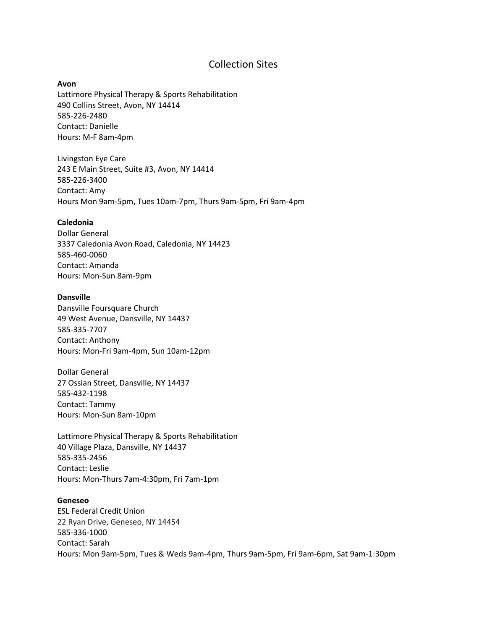# Collection Sites

#### **Avon**

Lattimore Physical Therapy & Sports Rehabilitation 490 Collins Street, Avon, NY 14414 585-226-2480 Contact: Danielle Hours: M-F 8am-4pm

Livingston Eye Care 243 E Main Street, Suite #3, Avon, NY 14414 585-226-3400 Contact: Amy Hours Mon 9am-5pm, Tues 10am-7pm, Thurs 9am-5pm, Fri 9am-4pm

#### **Caledonia**

Dollar General 3337 Caledonia Avon Road, Caledonia, NY 14423 585-460-0060 Contact: Amanda Hours: Mon-Sun 8am-9pm

#### **Dansville**

Dansville Foursquare Church 49 West Avenue, Dansville, NY 14437 585-335-7707 Contact: Anthony Hours: Mon-Fri 9am-4pm, Sun 10am-12pm

Dollar General 27 Ossian Street, Dansville, NY 14437 585-432-1198 Contact: Tammy Hours: Mon-Sun 8am-10pm

Lattimore Physical Therapy & Sports Rehabilitation 40 Village Plaza, Dansville, NY 14437 585-335-2456 Contact: Leslie Hours: Mon-Thurs 7am-4:30pm, Fri 7am-1pm

#### **Geneseo**

ESL Federal Credit Union 22 Ryan Drive, Geneseo, NY 14454 585-336-1000 Contact: Sarah Hours: Mon 9am-5pm, Tues & Weds 9am-4pm, Thurs 9am-5pm, Fri 9am-6pm, Sat 9am-1:30pm